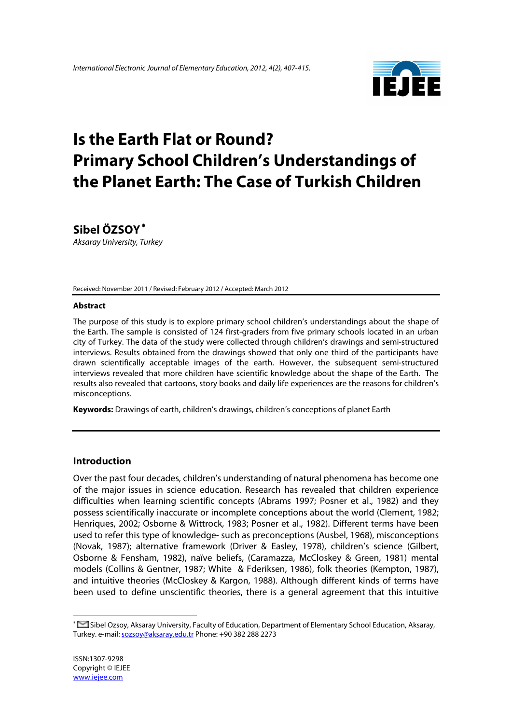

# **Is the Earth Flat or Round? Primary School Children's Understandings of the Planet Earth: The Case of Turkish Children**

**Sibel ÖZSOY**<sup>∗</sup>

*Aksaray University, Turkey*

Received: November 2011 / Revised: February 2012 / Accepted: March 2012

#### **Abstract**

The purpose of this study is to explore primary school children's understandings about the shape of the Earth. The sample is consisted of 124 first-graders from five primary schools located in an urban city of Turkey. The data of the study were collected through children's drawings and semi-structured interviews. Results obtained from the drawings showed that only one third of the participants have drawn scientifically acceptable images of the earth. However, the subsequent semi-structured interviews revealed that more children have scientific knowledge about the shape of the Earth. The results also revealed that cartoons, story books and daily life experiences are the reasons for children's misconceptions.

**Keywords:** Drawings of earth, children's drawings, children's conceptions of planet Earth

#### **Introduction**

Over the past four decades, children's understanding of natural phenomena has become one of the major issues in science education. Research has revealed that children experience difficulties when learning scientific concepts (Abrams 1997; Posner et al., 1982) and they possess scientifically inaccurate or incomplete conceptions about the world (Clement, 1982; Henriques, 2002; Osborne & Wittrock, 1983; Posner et al., 1982). Different terms have been used to refer this type of knowledge- such as preconceptions (Ausbel, 1968), misconceptions (Novak, 1987); alternative framework (Driver & Easley, 1978), children's science (Gilbert, Osborne & Fensham, 1982), naïve beliefs, (Caramazza, McCloskey & Green, 1981) mental models (Collins & Gentner, 1987; White & Fderiksen, 1986), folk theories (Kempton, 1987), and intuitive theories (McCloskey & Kargon, 1988). Although different kinds of terms have been used to define unscientific theories, there is a general agreement that this intuitive

 $\overline{a}$ 

<sup>∗</sup> Sibel Ozsoy, Aksaray University, Faculty of Education, Department of Elementary School Education, Aksaray, Turkey. e-mail: sozsoy@aksaray.edu.tr Phone: +90 382 288 2273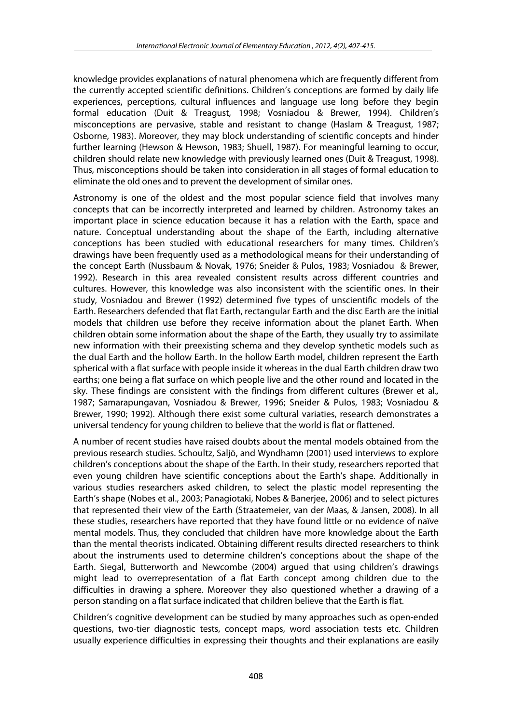knowledge provides explanations of natural phenomena which are frequently different from the currently accepted scientific definitions. Children's conceptions are formed by daily life experiences, perceptions, cultural influences and language use long before they begin formal education (Duit & Treagust, 1998; Vosniadou & Brewer, 1994). Children's misconceptions are pervasive, stable and resistant to change (Haslam & Treagust, 1987; Osborne, 1983). Moreover, they may block understanding of scientific concepts and hinder further learning (Hewson & Hewson, 1983; Shuell, 1987). For meaningful learning to occur, children should relate new knowledge with previously learned ones (Duit & Treagust, 1998). Thus, misconceptions should be taken into consideration in all stages of formal education to eliminate the old ones and to prevent the development of similar ones.

Astronomy is one of the oldest and the most popular science field that involves many concepts that can be incorrectly interpreted and learned by children. Astronomy takes an important place in science education because it has a relation with the Earth, space and nature. Conceptual understanding about the shape of the Earth, including alternative conceptions has been studied with educational researchers for many times. Children's drawings have been frequently used as a methodological means for their understanding of the concept Earth (Nussbaum & Novak, 1976; Sneider & Pulos, 1983; Vosniadou & Brewer, 1992). Research in this area revealed consistent results across different countries and cultures. However, this knowledge was also inconsistent with the scientific ones. In their study, Vosniadou and Brewer (1992) determined five types of unscientific models of the Earth. Researchers defended that flat Earth, rectangular Earth and the disc Earth are the initial models that children use before they receive information about the planet Earth. When children obtain some information about the shape of the Earth, they usually try to assimilate new information with their preexisting schema and they develop synthetic models such as the dual Earth and the hollow Earth. In the hollow Earth model, children represent the Earth spherical with a flat surface with people inside it whereas in the dual Earth children draw two earths; one being a flat surface on which people live and the other round and located in the sky. These findings are consistent with the findings from different cultures (Brewer et al.*,*  1987; Samarapungavan, Vosniadou & Brewer, 1996; Sneider & Pulos, 1983; Vosniadou & Brewer, 1990; 1992). Although there exist some cultural variaties, research demonstrates a universal tendency for young children to believe that the world is flat or flattened.

A number of recent studies have raised doubts about the mental models obtained from the previous research studies. Schoultz, Saljö, and Wyndhamn (2001) used interviews to explore children's conceptions about the shape of the Earth. In their study, researchers reported that even young children have scientific conceptions about the Earth's shape. Additionally in various studies researchers asked children, to select the plastic model representing the Earth's shape (Nobes et al., 2003; Panagiotaki, Nobes & Banerjee, 2006) and to select pictures that represented their view of the Earth (Straatemeier, van der Maas, & Jansen, 2008). In all these studies, researchers have reported that they have found little or no evidence of naïve mental models. Thus, they concluded that children have more knowledge about the Earth than the mental theorists indicated. Obtaining different results directed researchers to think about the instruments used to determine children's conceptions about the shape of the Earth. Siegal, Butterworth and Newcombe (2004) argued that using children's drawings might lead to overrepresentation of a flat Earth concept among children due to the difficulties in drawing a sphere. Moreover they also questioned whether a drawing of a person standing on a flat surface indicated that children believe that the Earth is flat.

Children's cognitive development can be studied by many approaches such as open-ended questions, two-tier diagnostic tests, concept maps, word association tests etc. Children usually experience difficulties in expressing their thoughts and their explanations are easily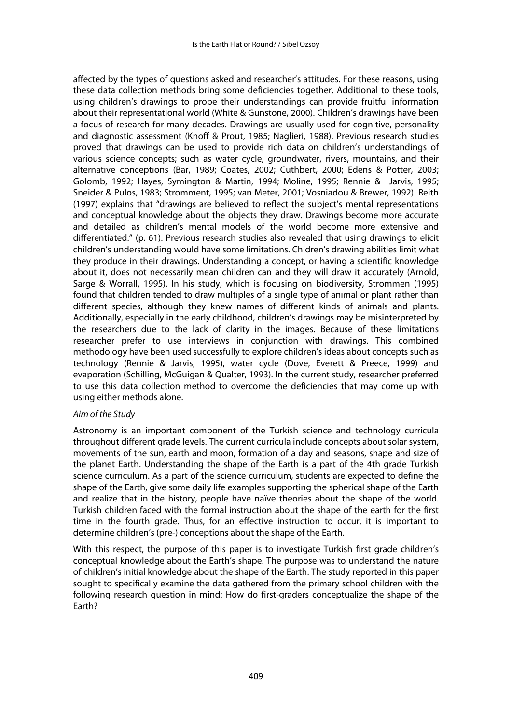affected by the types of questions asked and researcher's attitudes. For these reasons, using these data collection methods bring some deficiencies together. Additional to these tools, using children's drawings to probe their understandings can provide fruitful information about their representational world (White & Gunstone, 2000). Children's drawings have been a focus of research for many decades. Drawings are usually used for cognitive, personality and diagnostic assessment (Knoff & Prout, 1985; Naglieri, 1988). Previous research studies proved that drawings can be used to provide rich data on children's understandings of various science concepts; such as water cycle, groundwater, rivers, mountains, and their alternative conceptions (Bar, 1989; Coates, 2002; Cuthbert, 2000; Edens & Potter, 2003; Golomb, 1992; Hayes, Symington & Martin, 1994; Moline, 1995; Rennie & Jarvis, 1995; Sneider & Pulos, 1983; Stromment, 1995; van Meter, 2001; Vosniadou & Brewer, 1992). Reith (1997) explains that "drawings are believed to reflect the subject's mental representations and conceptual knowledge about the objects they draw. Drawings become more accurate and detailed as children's mental models of the world become more extensive and differentiated." (p. 61). Previous research studies also revealed that using drawings to elicit children's understanding would have some limitations. Chidren's drawing abilities limit what they produce in their drawings. Understanding a concept, or having a scientific knowledge about it, does not necessarily mean children can and they will draw it accurately (Arnold, Sarge & Worrall, 1995). In his study, which is focusing on biodiversity, Strommen (1995) found that children tended to draw multiples of a single type of animal or plant rather than different species, although they knew names of different kinds of animals and plants. Additionally, especially in the early childhood, children's drawings may be misinterpreted by the researchers due to the lack of clarity in the images. Because of these limitations researcher prefer to use interviews in conjunction with drawings. This combined methodology have been used successfully to explore children's ideas about concepts such as technology (Rennie & Jarvis, 1995), water cycle (Dove, Everett & Preece, 1999) and evaporation (Schilling, McGuigan & Qualter, 1993). In the current study, researcher preferred to use this data collection method to overcome the deficiencies that may come up with using either methods alone.

#### *Aim of the Study*

Astronomy is an important component of the Turkish science and technology curricula throughout different grade levels. The current curricula include concepts about solar system, movements of the sun, earth and moon, formation of a day and seasons, shape and size of the planet Earth. Understanding the shape of the Earth is a part of the 4th grade Turkish science curriculum. As a part of the science curriculum, students are expected to define the shape of the Earth, give some daily life examples supporting the spherical shape of the Earth and realize that in the history, people have naïve theories about the shape of the world. Turkish children faced with the formal instruction about the shape of the earth for the first time in the fourth grade. Thus, for an effective instruction to occur, it is important to determine children's (pre-) conceptions about the shape of the Earth.

With this respect, the purpose of this paper is to investigate Turkish first grade children's conceptual knowledge about the Earth's shape. The purpose was to understand the nature of children's initial knowledge about the shape of the Earth. The study reported in this paper sought to specifically examine the data gathered from the primary school children with the following research question in mind: How do first-graders conceptualize the shape of the Earth?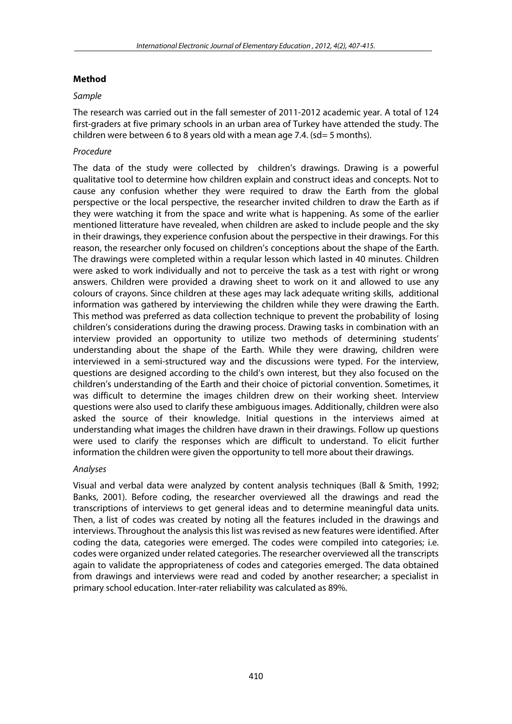# **Method**

## *Sample*

The research was carried out in the fall semester of 2011-2012 academic year. A total of 124 first-graders at five primary schools in an urban area of Turkey have attended the study. The children were between 6 to 8 years old with a mean age 7.4. (sd= 5 months).

# *Procedure*

The data of the study were collected by children's drawings. Drawing is a powerful qualitative tool to determine how children explain and construct ideas and concepts. Not to cause any confusion whether they were required to draw the Earth from the global perspective or the local perspective, the researcher invited children to draw the Earth as if they were watching it from the space and write what is happening. As some of the earlier mentioned litterature have revealed, when children are asked to include people and the sky in their drawings, they experience confusion about the perspective in their drawings. For this reason, the researcher only focused on children's conceptions about the shape of the Earth. The drawings were completed within a reqular lesson which lasted in 40 minutes. Children were asked to work individually and not to perceive the task as a test with right or wrong answers. Children were provided a drawing sheet to work on it and allowed to use any colours of crayons. Since children at these ages may lack adequate writing skills, additional information was gathered by interviewing the children while they were drawing the Earth. This method was preferred as data collection technique to prevent the probability of losing children's considerations during the drawing process. Drawing tasks in combination with an interview provided an opportunity to utilize two methods of determining students' understanding about the shape of the Earth. While they were drawing, children were interviewed in a semi-structured way and the discussions were typed. For the interview, questions are designed according to the child's own interest, but they also focused on the children's understanding of the Earth and their choice of pictorial convention. Sometimes, it was difficult to determine the images children drew on their working sheet. Interview questions were also used to clarify these ambiguous images. Additionally, children were also asked the source of their knowledge. Initial questions in the interviews aimed at understanding what images the children have drawn in their drawings. Follow up questions were used to clarify the responses which are difficult to understand. To elicit further information the children were given the opportunity to tell more about their drawings.

## *Analyses*

Visual and verbal data were analyzed by content analysis techniques (Ball & Smith, 1992; Banks, 2001). Before coding, the researcher overviewed all the drawings and read the transcriptions of interviews to get general ideas and to determine meaningful data units. Then, a list of codes was created by noting all the features included in the drawings and interviews. Throughout the analysis this list was revised as new features were identified. After coding the data, categories were emerged. The codes were compiled into categories; i.e. codes were organized under related categories. The researcher overviewed all the transcripts again to validate the appropriateness of codes and categories emerged. The data obtained from drawings and interviews were read and coded by another researcher; a specialist in primary school education. Inter-rater reliability was calculated as 89%.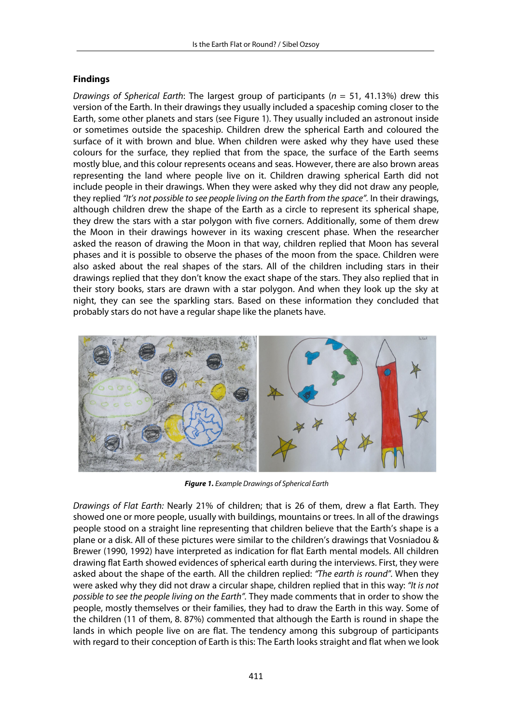### **Findings**

*Drawings of Spherical Earth*: The largest group of participants (*n* = 51, 41.13%) drew this version of the Earth. In their drawings they usually included a spaceship coming closer to the Earth, some other planets and stars (see Figure 1). They usually included an astronout inside or sometimes outside the spaceship. Children drew the spherical Earth and coloured the surface of it with brown and blue. When children were asked why they have used these colours for the surface, they replied that from the space, the surface of the Earth seems mostly blue, and this colour represents oceans and seas. However, there are also brown areas representing the land where people live on it. Children drawing spherical Earth did not include people in their drawings. When they were asked why they did not draw any people, they replied *"It's not possible to see people living on the Earth from the space".* In their drawings, although children drew the shape of the Earth as a circle to represent its spherical shape, they drew the stars with a star polygon with five corners. Additionally, some of them drew the Moon in their drawings however in its waxing crescent phase. When the researcher asked the reason of drawing the Moon in that way, children replied that Moon has several phases and it is possible to observe the phases of the moon from the space. Children were also asked about the real shapes of the stars. All of the children including stars in their drawings replied that they don't know the exact shape of the stars. They also replied that in their story books, stars are drawn with a star polygon. And when they look up the sky at night, they can see the sparkling stars. Based on these information they concluded that probably stars do not have a regular shape like the planets have.



**Figure 1.** *Example Drawings of Spherical Earth*

*Drawings of Flat Earth:* Nearly 21% of children; that is 26 of them, drew a flat Earth. They showed one or more people, usually with buildings, mountains or trees. In all of the drawings people stood on a straight line representing that children believe that the Earth's shape is a plane or a disk. All of these pictures were similar to the children's drawings that Vosniadou & Brewer (1990, 1992) have interpreted as indication for flat Earth mental models. All children drawing flat Earth showed evidences of spherical earth during the interviews. First, they were asked about the shape of the earth. All the children replied: *"The earth is round".* When they were asked why they did not draw a circular shape, children replied that in this way: *"It is not possible to see the people living on the Earth".* They made comments that in order to show the people, mostly themselves or their families, they had to draw the Earth in this way. Some of the children (11 of them, 8. 87%) commented that although the Earth is round in shape the lands in which people live on are flat. The tendency among this subgroup of participants with regard to their conception of Earth is this: The Earth looks straight and flat when we look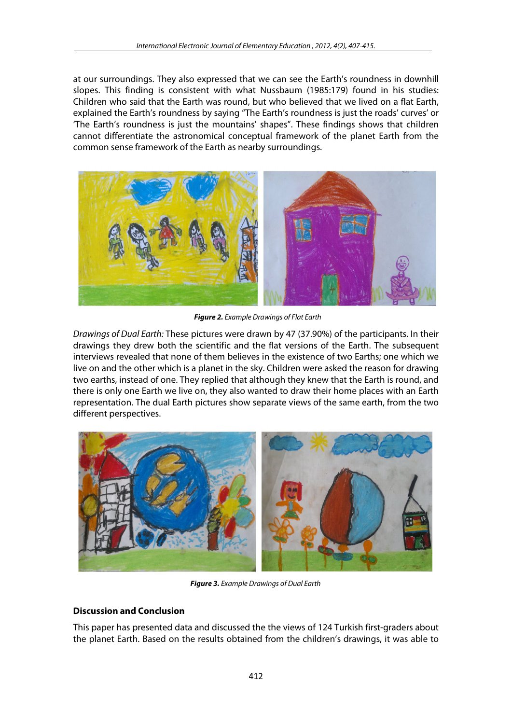at our surroundings. They also expressed that we can see the Earth's roundness in downhill slopes. This finding is consistent with what Nussbaum (1985:179) found in his studies: Children who said that the Earth was round, but who believed that we lived on a flat Earth, explained the Earth's roundness by saying "The Earth's roundness is just the roads' curves' or 'The Earth's roundness is just the mountains' shapes". These findings shows that children cannot differentiate the astronomical conceptual framework of the planet Earth from the common sense framework of the Earth as nearby surroundings.



**Figure 2.** *Example Drawings of Flat Earth*

*Drawings of Dual Earth:* These pictures were drawn by 47 (37.90%) of the participants. In their drawings they drew both the scientific and the flat versions of the Earth. The subsequent interviews revealed that none of them believes in the existence of two Earths; one which we live on and the other which is a planet in the sky. Children were asked the reason for drawing two earths, instead of one. They replied that although they knew that the Earth is round, and there is only one Earth we live on, they also wanted to draw their home places with an Earth representation. The dual Earth pictures show separate views of the same earth, from the two different perspectives.



**Figure 3.** *Example Drawings of Dual Earth*

## **Discussion and Conclusion**

This paper has presented data and discussed the the views of 124 Turkish first-graders about the planet Earth. Based on the results obtained from the children's drawings, it was able to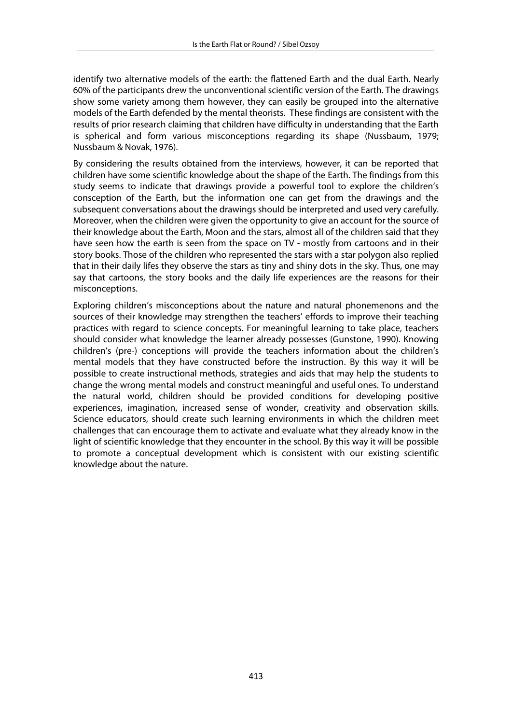identify two alternative models of the earth: the flattened Earth and the dual Earth. Nearly 60% of the participants drew the unconventional scientific version of the Earth. The drawings show some variety among them however, they can easily be grouped into the alternative models of the Earth defended by the mental theorists. These findings are consistent with the results of prior research claiming that children have difficulty in understanding that the Earth is spherical and form various misconceptions regarding its shape (Nussbaum, 1979; Nussbaum & Novak, 1976).

By considering the results obtained from the interviews, however, it can be reported that children have some scientific knowledge about the shape of the Earth. The findings from this study seems to indicate that drawings provide a powerful tool to explore the children's consception of the Earth, but the information one can get from the drawings and the subsequent conversations about the drawings should be interpreted and used very carefully. Moreover, when the children were given the opportunity to give an account for the source of their knowledge about the Earth, Moon and the stars, almost all of the children said that they have seen how the earth is seen from the space on TV - mostly from cartoons and in their story books. Those of the children who represented the stars with a star polygon also replied that in their daily lifes they observe the stars as tiny and shiny dots in the sky. Thus, one may say that cartoons, the story books and the daily life experiences are the reasons for their misconceptions.

Exploring children's misconceptions about the nature and natural phonemenons and the sources of their knowledge may strengthen the teachers' effords to improve their teaching practices with regard to science concepts. For meaningful learning to take place, teachers should consider what knowledge the learner already possesses (Gunstone, 1990). Knowing children's (pre-) conceptions will provide the teachers information about the children's mental models that they have constructed before the instruction. By this way it will be possible to create instructional methods, strategies and aids that may help the students to change the wrong mental models and construct meaningful and useful ones. To understand the natural world, children should be provided conditions for developing positive experiences, imagination, increased sense of wonder, creativity and observation skills. Science educators, should create such learning environments in which the children meet challenges that can encourage them to activate and evaluate what they already know in the light of scientific knowledge that they encounter in the school. By this way it will be possible to promote a conceptual development which is consistent with our existing scientific knowledge about the nature.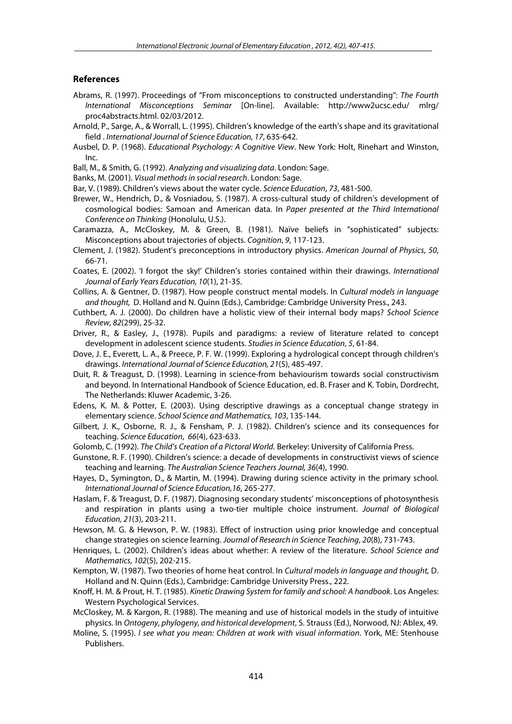#### **References**

- Abrams, R. (1997). Proceedings of "From misconceptions to constructed understanding": *The Fourth International Misconceptions Seminar* [On-line]. Available: http://www2ucsc.edu/ mlrg/ proc4abstracts.html. 02/03/2012.
- Arnold, P., Sarge, A., & Worrall, L. (1995). Children's knowledge of the earth's shape and its gravitational field . *International Journal of Science Education, 17*, 635-642.
- Ausbel, D. P. (1968). *Educational Psychology: A Cognitive View*. New York: Holt, Rinehart and Winston, Inc.
- Ball, M., & Smith, G. (1992). *Analyzing and visualizing data*. London: Sage.
- Banks, M. (2001). *Visual methods in social research*. London: Sage.
- Bar, V. (1989). Children's views about the water cycle. *Science Education*, *73*, 481-500.
- Brewer, W., Hendrich, D., & Vosniadou, S. (1987). A cross-cultural study of children's development of cosmological bodies: Samoan and American data. In *Paper presented at the Third International Conference on Thinking* (Honolulu, U.S.).
- Caramazza, A., McCloskey, M. & Green, B. (1981). Naïve beliefs in "sophisticated" subjects: Misconceptions about trajectories of objects. *Cognition*, *9*, 117-123.
- Clement, J. (1982). Student's preconceptions in introductory physics. *American Journal of Physics*, *50*, 66-71.
- Coates, E. (2002). 'I forgot the sky!' Children's stories contained within their drawings. *International Journal of Early Years Education, 10*(1), 21-35.
- Collins, A. & Gentner, D. (1987). How people construct mental models. In *Cultural models in language and thought,* D. Holland and N. Quinn (Eds.), Cambridge: Cambridge University Press., 243.
- Cuthbert, A. J. (2000). Do children have a holistic view of their internal body maps? *School Science Review, 82*(299), 25-32.
- Driver, R., & Easley, J., (1978). Pupils and paradigms: a review of literature related to concept development in adolescent science students. *Studies in Science Education*, *5*, 61-84.
- Dove, J. E., Everett, L. A., & Preece, P. F. W. (1999). Exploring a hydrological concept through children's drawings. *International Journal of Science Education, 21*(5), 485-497.
- Duit, R. & Treagust, D. (1998). Learning in science-from behaviourism towards social constructivism and beyond. In International Handbook of Science Education, ed. B. Fraser and K. Tobin, Dordrecht, The Netherlands: Kluwer Academic, 3-26.
- Edens, K. M. & Potter, E. (2003). Using descriptive drawings as a conceptual change strategy in elementary science. *School Science and Mathematics, 103*, 135-144.
- Gilbert, J. K., Osborne, R. J., & Fensham, P. J. (1982). Children's science and its consequences for teaching. *Science Education*, *66*(4), 623-633.
- Golomb, C. (1992). *The Child's Creation of a Pictoral World.* Berkeley: University of California Press.
- Gunstone, R. F. (1990). Children's science: a decade of developments in constructivist views of science teaching and learning. *The Australian Science Teachers Journal, 36*(4), 1990.
- Hayes, D., Symington, D., & Martin, M. (1994). Drawing during science activity in the primary school. *International Journal of Science Education,16*, 265-277.
- Haslam, F. & Treagust, D. F. (1987). Diagnosing secondary students' misconceptions of photosynthesis and respiration in plants using a two-tier multiple choice instrument. *Journal of Biological Education, 21*(3), 203-211.
- Hewson, M. G. & Hewson, P. W. (1983). Effect of instruction using prior knowledge and conceptual change strategies on science learning. *Journal of Research in Science Teaching*, *20*(8), 731-743.
- Henriques, L. (2002). Children's ideas about whether: A review of the literature. *School Science and Mathematics, 102*(5), 202-215.
- Kempton, W. (1987). Two theories of home heat control. In *Cultural models in language and thought,* D. Holland and N. Quinn (Eds.), Cambridge: Cambridge University Press., 222.
- Knoff, H. M. & Prout, H. T. (1985). *Kinetic Drawing System for family and school: A handbook.* Los Angeles: Western Psychological Services.
- McCloskey, M. & Kargon, R. (1988). The meaning and use of historical models in the study of intuitive physics. In *Ontogeny, phylogeny, and historical development*, S. Strauss (Ed.), Norwood, NJ: Ablex, 49.
- Moline, S. (1995). *I see what you mean: Children at work with visual information*. York, ME: Stenhouse Publishers.